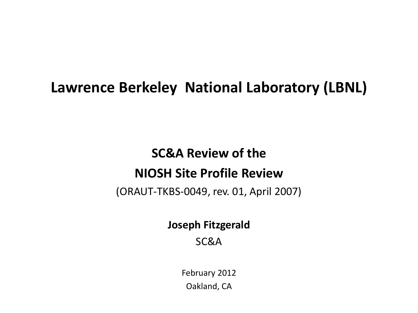#### **Lawrence Berkeley National Laboratory (LBNL)**

#### **SC&A Review of the NIOSH Site Profile Review**

(ORAUT-TKBS-0049, rev. 01, April 2007)

**Joseph Fitzgerald**

SC&A

February 2012 Oakland, CA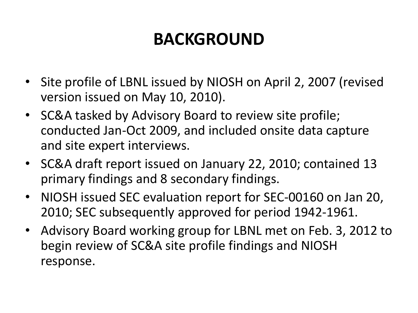## **BACKGROUND**

- Site profile of LBNL issued by NIOSH on April 2, 2007 (revised version issued on May 10, 2010).
- SC&A tasked by Advisory Board to review site profile; conducted Jan-Oct 2009, and included onsite data capture and site expert interviews.
- SC&A draft report issued on January 22, 2010; contained 13 primary findings and 8 secondary findings.
- NIOSH issued SEC evaluation report for SEC-00160 on Jan 20, 2010; SEC subsequently approved for period 1942-1961.
- Advisory Board working group for LBNL met on Feb. 3, 2012 to begin review of SC&A site profile findings and NIOSH response.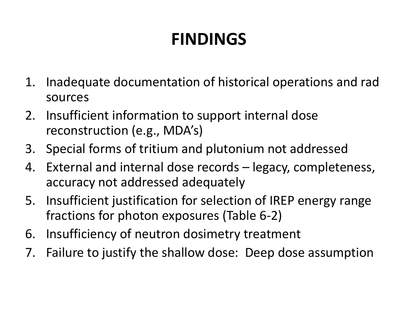# **FINDINGS**

- 1. Inadequate documentation of historical operations and rad sources
- 2. Insufficient information to support internal dose reconstruction (e.g., MDA's)
- 3. Special forms of tritium and plutonium not addressed
- 4. External and internal dose records legacy, completeness, accuracy not addressed adequately
- 5. Insufficient justification for selection of IREP energy range fractions for photon exposures (Table 6-2)
- 6. Insufficiency of neutron dosimetry treatment
- 7. Failure to justify the shallow dose: Deep dose assumption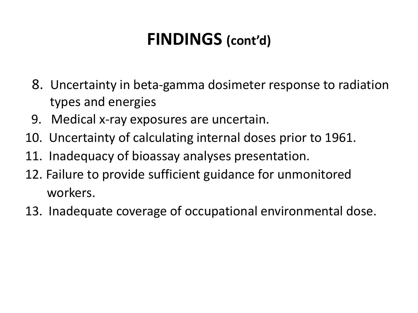### **FINDINGS (cont'd)**

- 8. Uncertainty in beta-gamma dosimeter response to radiation types and energies
- 9. Medical x-ray exposures are uncertain.
- 10. Uncertainty of calculating internal doses prior to 1961.
- 11. Inadequacy of bioassay analyses presentation.
- 12. Failure to provide sufficient guidance for unmonitored workers.
- 13. Inadequate coverage of occupational environmental dose.